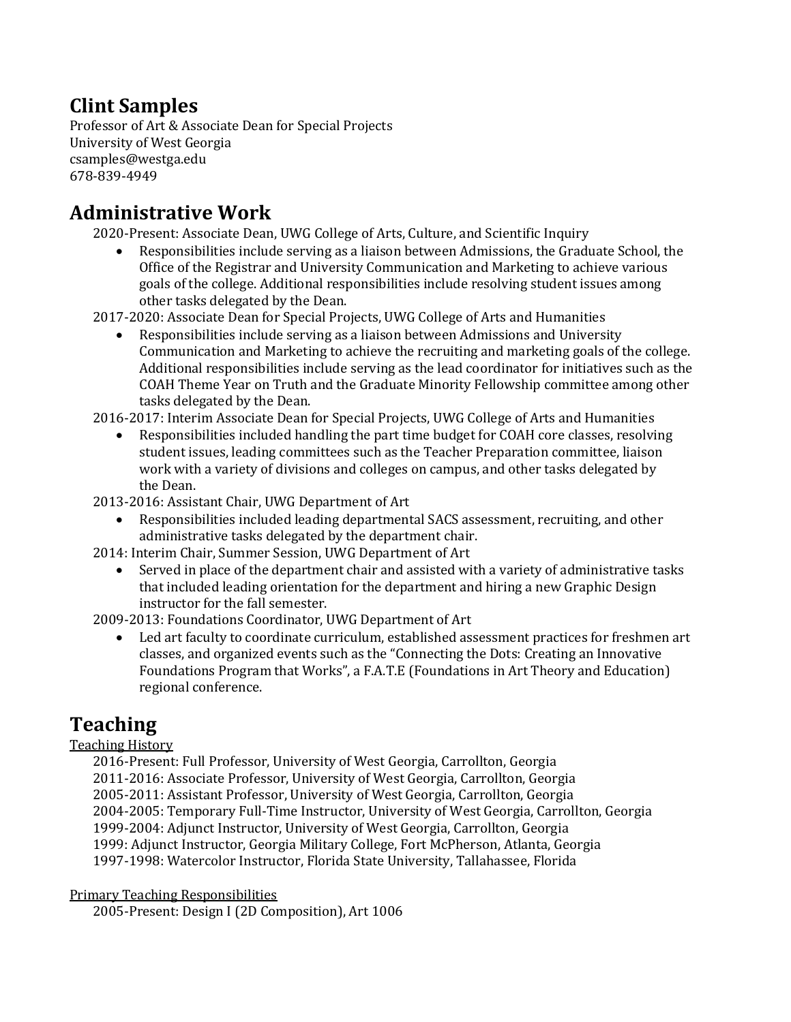# **Clint Samples**

Professor of Art & Associate Dean for Special Projects University of West Georgia csamples@westga.edu 678-839-4949

## **Administrative Work**

2020-Present: Associate Dean, UWG College of Arts, Culture, and Scientific Inquiry

• Responsibilities include serving as a liaison between Admissions, the Graduate School, the Office of the Registrar and University Communication and Marketing to achieve various goals of the college. Additional responsibilities include resolving student issues among other tasks delegated by the Dean.

2017-2020: Associate Dean for Special Projects, UWG College of Arts and Humanities

Responsibilities include serving as a liaison between Admissions and University Communication and Marketing to achieve the recruiting and marketing goals of the college. Additional responsibilities include serving as the lead coordinator for initiatives such as the COAH Theme Year on Truth and the Graduate Minority Fellowship committee among other tasks delegated by the Dean.

2016-2017: Interim Associate Dean for Special Projects, UWG College of Arts and Humanities

Responsibilities included handling the part time budget for COAH core classes, resolving student issues, leading committees such as the Teacher Preparation committee, liaison work with a variety of divisions and colleges on campus, and other tasks delegated by the Dean.

2013-2016: Assistant Chair, UWG Department of Art

Responsibilities included leading departmental SACS assessment, recruiting, and other administrative tasks delegated by the department chair.

2014: Interim Chair, Summer Session, UWG Department of Art

Served in place of the department chair and assisted with a variety of administrative tasks that included leading orientation for the department and hiring a new Graphic Design instructor for the fall semester.

2009-2013: Foundations Coordinator, UWG Department of Art

Led art faculty to coordinate curriculum, established assessment practices for freshmen art classes, and organized events such as the "Connecting the Dots: Creating an Innovative Foundations Program that Works", a F.A.T.E (Foundations in Art Theory and Education) regional conference.

# **Teaching**

## **Teaching History**

2016-Present: Full Professor, University of West Georgia, Carrollton, Georgia 2011-2016: Associate Professor, University of West Georgia, Carrollton, Georgia 2005-2011: Assistant Professor, University of West Georgia, Carrollton, Georgia 2004-2005: Temporary Full-Time Instructor, University of West Georgia, Carrollton, Georgia 1999-2004: Adjunct Instructor, University of West Georgia, Carrollton, Georgia 1999: Adjunct Instructor, Georgia Military College, Fort McPherson, Atlanta, Georgia 1997-1998: Watercolor Instructor, Florida State University, Tallahassee, Florida

**Primary Teaching Responsibilities** 

2005-Present: Design I (2D Composition), Art 1006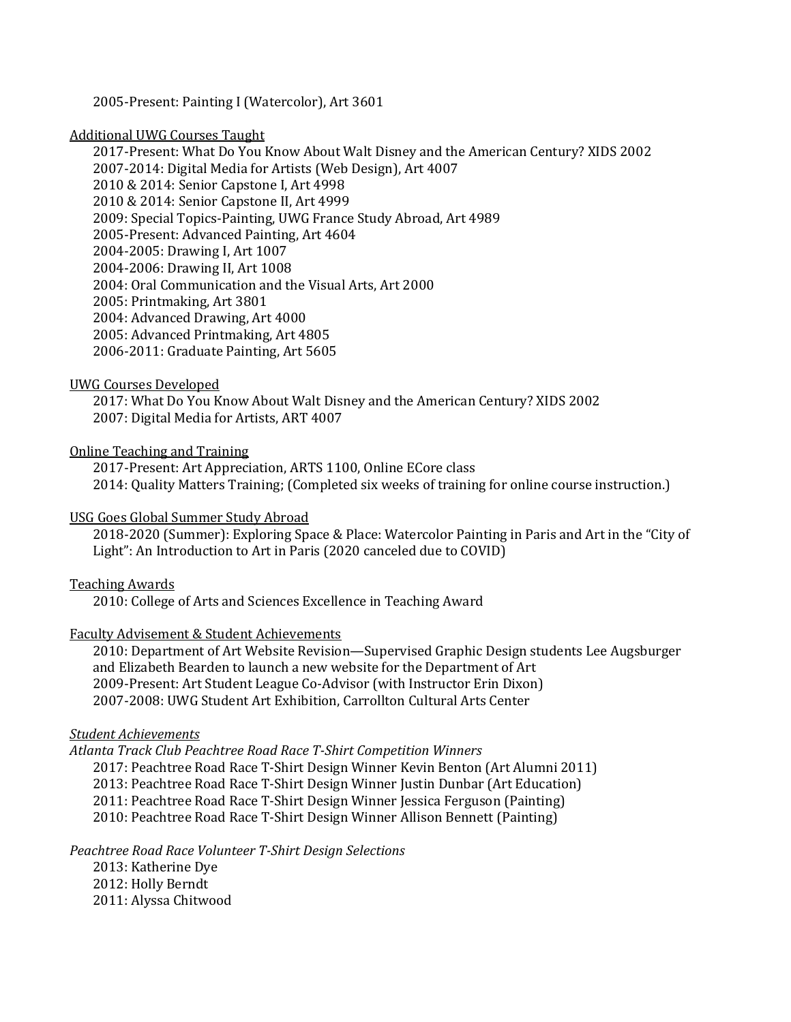2005-Present: Painting I (Watercolor), Art 3601

#### **Additional UWG Courses Taught**

2017-Present: What Do You Know About Walt Disney and the American Century? XIDS 2002 2007-2014: Digital Media for Artists (Web Design), Art 4007 2010 & 2014: Senior Capstone I, Art 4998 2010 & 2014: Senior Capstone II, Art 4999 2009: Special Topics-Painting, UWG France Study Abroad, Art 4989 2005-Present: Advanced Painting, Art 4604 2004-2005: Drawing I, Art 1007 2004-2006: Drawing II, Art 1008 2004: Oral Communication and the Visual Arts, Art 2000 2005: Printmaking, Art 3801 2004: Advanced Drawing, Art 4000 2005: Advanced Printmaking, Art 4805 2006-2011: Graduate Painting, Art 5605

#### UWG Courses Developed

2017: What Do You Know About Walt Disney and the American Century? XIDS 2002 2007: Digital Media for Artists, ART 4007

Online Teaching and Training

2017-Present: Art Appreciation, ARTS 1100, Online ECore class 2014: Quality Matters Training; (Completed six weeks of training for online course instruction.)

### USG Goes Global Summer Study Abroad

2018-2020 (Summer): Exploring Space & Place: Watercolor Painting in Paris and Art in the "City of Light": An Introduction to Art in Paris (2020 canceled due to COVID)

### **Teaching Awards**

2010: College of Arts and Sciences Excellence in Teaching Award

### Faculty Advisement & Student Achievements

2010: Department of Art Website Revision—Supervised Graphic Design students Lee Augsburger and Elizabeth Bearden to launch a new website for the Department of Art 2009-Present: Art Student League Co-Advisor (with Instructor Erin Dixon) 2007-2008: UWG Student Art Exhibition, Carrollton Cultural Arts Center

#### *Student Achievements*

*Atlanta Track Club Peachtree Road Race T-Shirt Competition Winners*

2017: Peachtree Road Race T-Shirt Design Winner Kevin Benton (Art Alumni 2011)

2013: Peachtree Road Race T-Shirt Design Winner Justin Dunbar (Art Education)

2011: Peachtree Road Race T-Shirt Design Winner Jessica Ferguson (Painting)

2010: Peachtree Road Race T-Shirt Design Winner Allison Bennett (Painting)

## *Peachtree Road Race Volunteer T-Shirt Design Selections*

2013: Katherine Dye 2012: Holly Berndt 2011: Alyssa Chitwood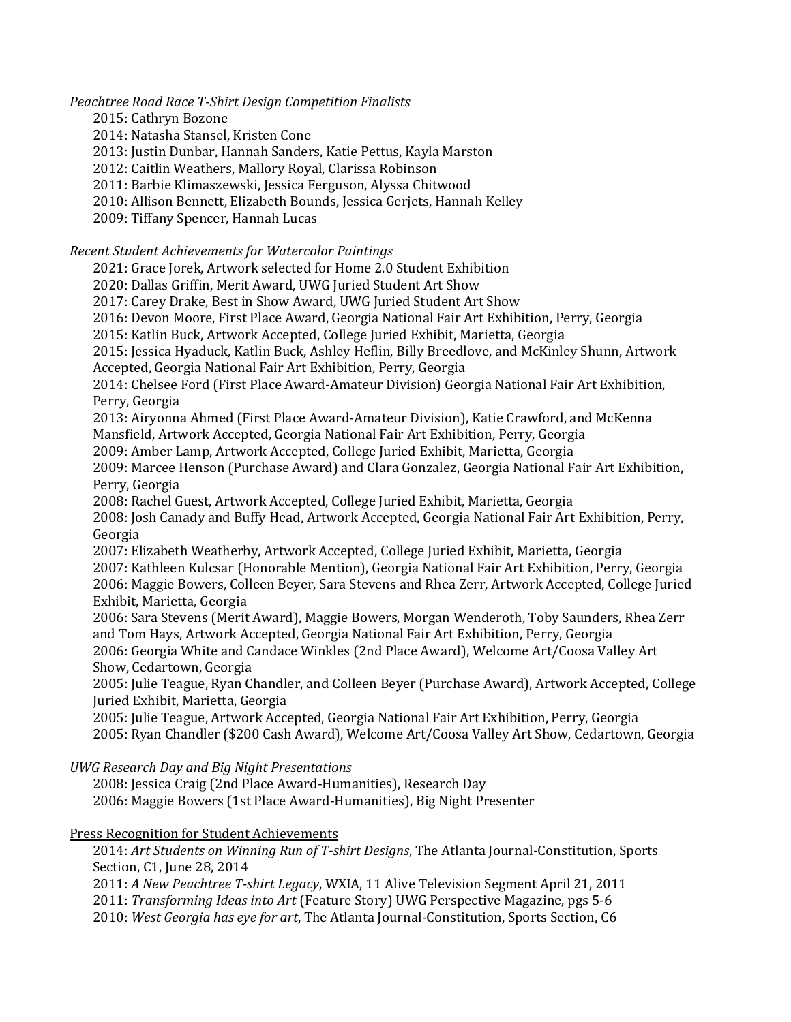*Peachtree Road Race T-Shirt Design Competition Finalists*

2015: Cathryn Bozone

2014: Natasha Stansel, Kristen Cone

2013: Justin Dunbar, Hannah Sanders, Katie Pettus, Kayla Marston

2012: Caitlin Weathers, Mallory Royal, Clarissa Robinson

2011: Barbie Klimaszewski, Jessica Ferguson, Alyssa Chitwood

2010: Allison Bennett, Elizabeth Bounds, Jessica Gerjets, Hannah Kelley

2009: Tiffany Spencer, Hannah Lucas

*Recent Student Achievements for Watercolor Paintings*

2021: Grace Jorek, Artwork selected for Home 2.0 Student Exhibition

2020: Dallas Griffin, Merit Award, UWG Juried Student Art Show

2017: Carey Drake, Best in Show Award, UWG Juried Student Art Show

2016: Devon Moore, First Place Award, Georgia National Fair Art Exhibition, Perry, Georgia

2015: Katlin Buck, Artwork Accepted, College Juried Exhibit, Marietta, Georgia

2015: Jessica Hyaduck, Katlin Buck, Ashley Heflin, Billy Breedlove, and McKinley Shunn, Artwork Accepted, Georgia National Fair Art Exhibition, Perry, Georgia

2014: Chelsee Ford (First Place Award-Amateur Division) Georgia National Fair Art Exhibition, Perry, Georgia

2013: Airyonna Ahmed (First Place Award-Amateur Division), Katie Crawford, and McKenna Mansfield, Artwork Accepted, Georgia National Fair Art Exhibition, Perry, Georgia

2009: Amber Lamp, Artwork Accepted, College Juried Exhibit, Marietta, Georgia

2009: Marcee Henson (Purchase Award) and Clara Gonzalez, Georgia National Fair Art Exhibition, Perry, Georgia

2008: Rachel Guest, Artwork Accepted, College Juried Exhibit, Marietta, Georgia

2008: Josh Canady and Buffy Head, Artwork Accepted, Georgia National Fair Art Exhibition, Perry, Georgia

2007: Elizabeth Weatherby, Artwork Accepted, College Juried Exhibit, Marietta, Georgia 2007: Kathleen Kulcsar (Honorable Mention), Georgia National Fair Art Exhibition, Perry, Georgia 2006: Maggie Bowers, Colleen Beyer, Sara Stevens and Rhea Zerr, Artwork Accepted, College Juried Exhibit, Marietta, Georgia

2006: Sara Stevens (Merit Award), Maggie Bowers, Morgan Wenderoth, Toby Saunders, Rhea Zerr and Tom Hays, Artwork Accepted, Georgia National Fair Art Exhibition, Perry, Georgia 2006: Georgia White and Candace Winkles (2nd Place Award), Welcome Art/Coosa Valley Art

Show, Cedartown, Georgia

2005: Julie Teague, Ryan Chandler, and Colleen Beyer (Purchase Award), Artwork Accepted, College Juried Exhibit, Marietta, Georgia

2005: Julie Teague, Artwork Accepted, Georgia National Fair Art Exhibition, Perry, Georgia 2005: Ryan Chandler (\$200 Cash Award), Welcome Art/Coosa Valley Art Show, Cedartown, Georgia

*UWG Research Day and Big Night Presentations*

2008: Jessica Craig (2nd Place Award-Humanities), Research Day 2006: Maggie Bowers (1st Place Award-Humanities), Big Night Presenter

Press Recognition for Student Achievements

2014: Art Students on Winning Run of T-shirt Designs, The Atlanta Journal-Constitution, Sports Section, C1, June 28, 2014

2011: *A New Peachtree T-shirt Legacy*, WXIA, 11 Alive Television Segment April 21, 2011

2011: *Transforming Ideas into Art* (Feature Story) UWG Perspective Magazine, pgs 5-6

2010: *West Georgia has eye for art*, The Atlanta Journal-Constitution, Sports Section, C6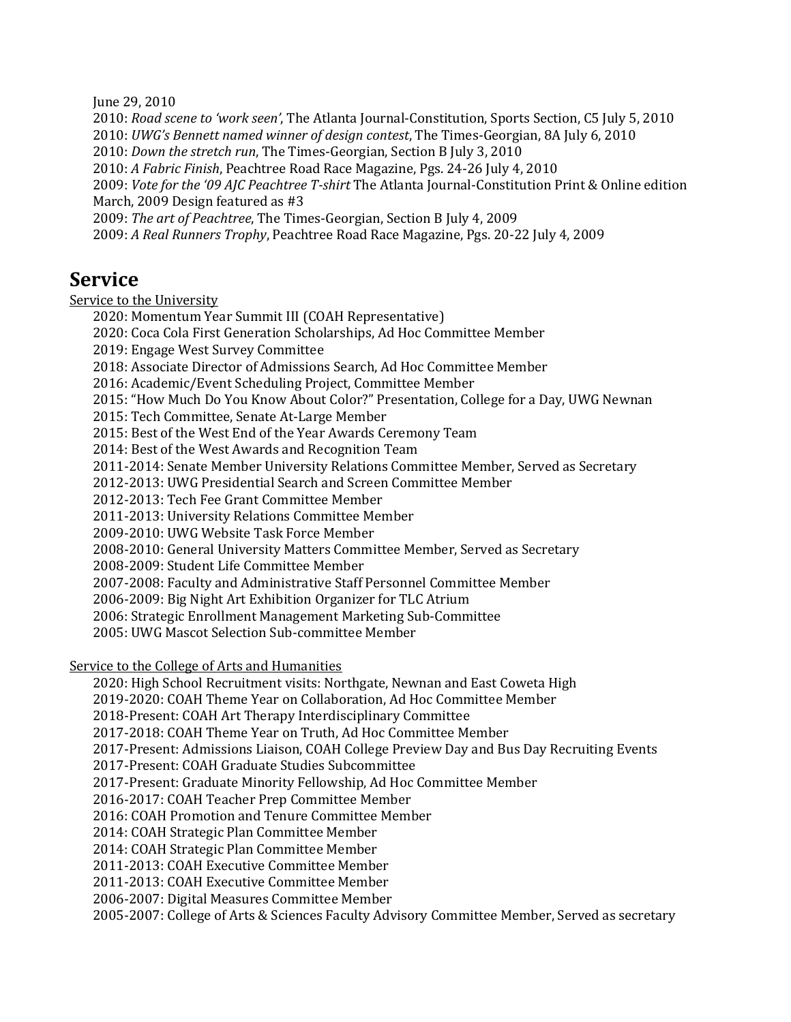June 29, 2010

2010: *Road scene to 'work seen'*, The Atlanta Journal-Constitution, Sports Section, C5 July 5, 2010 2010: *UWG's Bennett named winner of design contest*, The Times-Georgian, 8A July 6, 2010 2010: *Down the stretch run*, The Times-Georgian, Section B July 3, 2010 2010: *A Fabric Finish*, Peachtree Road Race Magazine, Pgs. 24-26 July 4, 2010 2009: *Vote for the '09 AJC Peachtree T-shirt* The Atlanta Journal-Constitution Print & Online edition March, 2009 Design featured as #3 2009: *The art of Peachtree*, The Times-Georgian, Section B July 4, 2009 2009: *A Real Runners Trophy*, Peachtree Road Race Magazine, Pgs. 20-22 July 4, 2009

## **Service**

Service to the University

2020: Momentum Year Summit III (COAH Representative)

2020: Coca Cola First Generation Scholarships, Ad Hoc Committee Member

2019: Engage West Survey Committee

2018: Associate Director of Admissions Search, Ad Hoc Committee Member

2016: Academic/Event Scheduling Project, Committee Member

2015: "How Much Do You Know About Color?" Presentation, College for a Day, UWG Newnan

2015: Tech Committee, Senate At-Large Member

2015: Best of the West End of the Year Awards Ceremony Team

2014: Best of the West Awards and Recognition Team

2011-2014: Senate Member University Relations Committee Member, Served as Secretary

2012-2013: UWG Presidential Search and Screen Committee Member

2012-2013: Tech Fee Grant Committee Member

2011-2013: University Relations Committee Member

2009-2010: UWG Website Task Force Member

2008-2010: General University Matters Committee Member, Served as Secretary

2008-2009: Student Life Committee Member

2007-2008: Faculty and Administrative Staff Personnel Committee Member

2006-2009: Big Night Art Exhibition Organizer for TLC Atrium

2006: Strategic Enrollment Management Marketing Sub-Committee

2005: UWG Mascot Selection Sub-committee Member

Service to the College of Arts and Humanities

2020: High School Recruitment visits: Northgate, Newnan and East Coweta High

2019-2020: COAH Theme Year on Collaboration, Ad Hoc Committee Member

2018-Present: COAH Art Therapy Interdisciplinary Committee

2017-2018: COAH Theme Year on Truth, Ad Hoc Committee Member

2017-Present: Admissions Liaison, COAH College Preview Day and Bus Day Recruiting Events

2017-Present: COAH Graduate Studies Subcommittee

2017-Present: Graduate Minority Fellowship, Ad Hoc Committee Member

2016-2017: COAH Teacher Prep Committee Member

2016: COAH Promotion and Tenure Committee Member

2014: COAH Strategic Plan Committee Member

2014: COAH Strategic Plan Committee Member

2011-2013: COAH Executive Committee Member

2011-2013: COAH Executive Committee Member

2006-2007: Digital Measures Committee Member

2005-2007: College of Arts & Sciences Faculty Advisory Committee Member, Served as secretary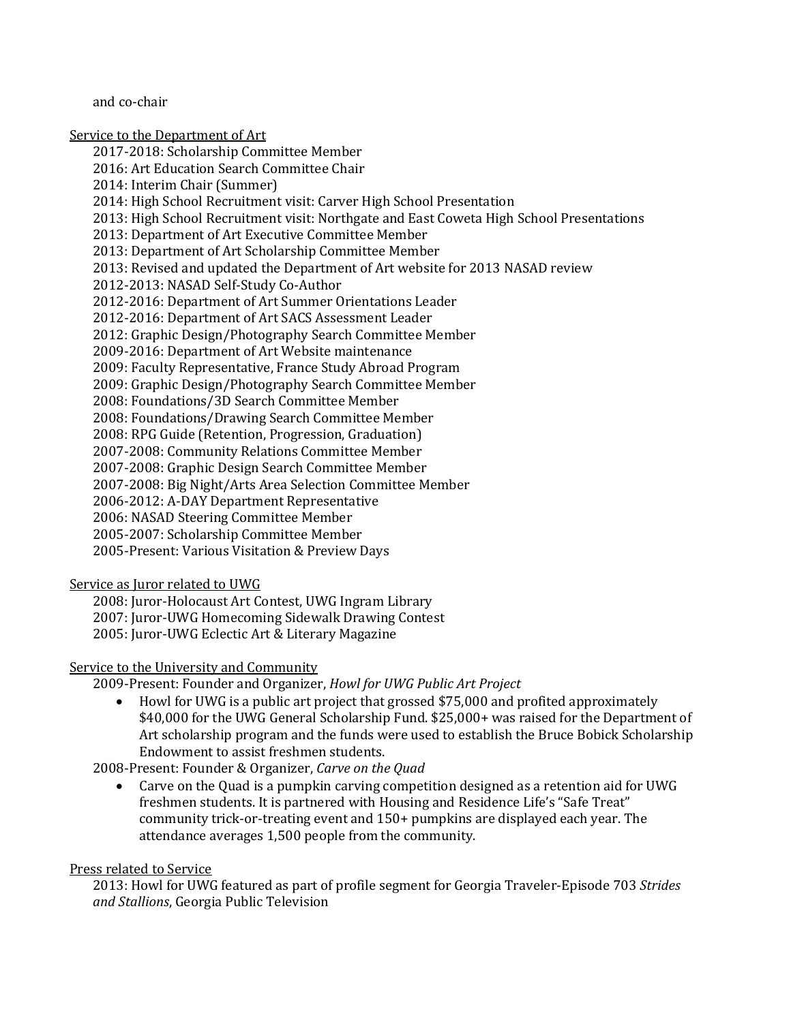and co-chair

Service to the Department of Art 2017-2018: Scholarship Committee Member 2016: Art Education Search Committee Chair 2014: Interim Chair (Summer) 2014: High School Recruitment visit: Carver High School Presentation 2013: High School Recruitment visit: Northgate and East Coweta High School Presentations 2013: Department of Art Executive Committee Member 2013: Department of Art Scholarship Committee Member 2013: Revised and updated the Department of Art website for 2013 NASAD review 2012-2013: NASAD Self-Study Co-Author 2012-2016: Department of Art Summer Orientations Leader 2012-2016: Department of Art SACS Assessment Leader 2012: Graphic Design/Photography Search Committee Member 2009-2016: Department of Art Website maintenance 2009: Faculty Representative, France Study Abroad Program 2009: Graphic Design/Photography Search Committee Member 2008: Foundations/3D Search Committee Member 2008: Foundations/Drawing Search Committee Member 2008: RPG Guide (Retention, Progression, Graduation) 2007-2008: Community Relations Committee Member 2007-2008: Graphic Design Search Committee Member 2007-2008: Big Night/Arts Area Selection Committee Member 2006-2012: A-DAY Department Representative 2006: NASAD Steering Committee Member 2005-2007: Scholarship Committee Member 2005-Present: Various Visitation & Preview Days

### Service as Juror related to UWG

2008: Juror-Holocaust Art Contest, UWG Ingram Library 2007: Juror-UWG Homecoming Sidewalk Drawing Contest 2005: Juror-UWG Eclectic Art & Literary Magazine

### Service to the University and Community

2009-Present: Founder and Organizer, *Howl for UWG Public Art Project* 

• Howl for UWG is a public art project that grossed \$75,000 and profited approximately \$40,000 for the UWG General Scholarship Fund. \$25,000+ was raised for the Department of Art scholarship program and the funds were used to establish the Bruce Bobick Scholarship Endowment to assist freshmen students.

2008-Present: Founder & Organizer, *Carve on the Quad* 

• Carve on the Quad is a pumpkin carving competition designed as a retention aid for UWG freshmen students. It is partnered with Housing and Residence Life's "Safe Treat" community trick-or-treating event and 150+ pumpkins are displayed each year. The attendance averages 1,500 people from the community.

### Press related to Service

2013: Howl for UWG featured as part of profile segment for Georgia Traveler-Episode 703 Strides *and Stallions*, Georgia Public Television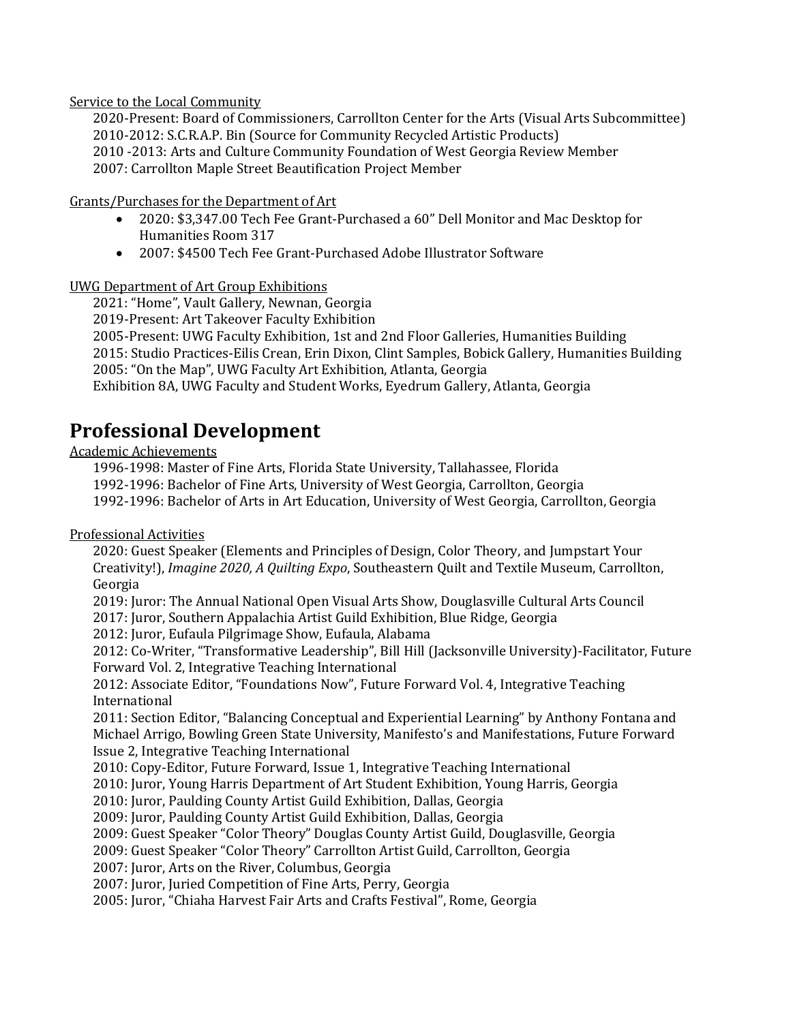Service to the Local Community

2020-Present: Board of Commissioners, Carrollton Center for the Arts (Visual Arts Subcommittee) 2010-2012: S.C.R.A.P. Bin (Source for Community Recycled Artistic Products) 2010 -2013: Arts and Culture Community Foundation of West Georgia Review Member 2007: Carrollton Maple Street Beautification Project Member

Grants/Purchases for the Department of Art

- 2020: \$3,347.00 Tech Fee Grant-Purchased a 60" Dell Monitor and Mac Desktop for Humanities Room 317
- 2007: \$4500 Tech Fee Grant-Purchased Adobe Illustrator Software

## UWG Department of Art Group Exhibitions

2021: "Home", Vault Gallery, Newnan, Georgia 2019-Present: Art Takeover Faculty Exhibition 2005-Present: UWG Faculty Exhibition, 1st and 2nd Floor Galleries, Humanities Building 2015: Studio Practices-Eilis Crean, Erin Dixon, Clint Samples, Bobick Gallery, Humanities Building 2005: "On the Map", UWG Faculty Art Exhibition, Atlanta, Georgia Exhibition 8A, UWG Faculty and Student Works, Eyedrum Gallery, Atlanta, Georgia

# **Professional Development**

## Academic Achievements

1996-1998: Master of Fine Arts, Florida State University, Tallahassee, Florida 1992-1996: Bachelor of Fine Arts, University of West Georgia, Carrollton, Georgia 1992-1996: Bachelor of Arts in Art Education, University of West Georgia, Carrollton, Georgia

## Professional Activities

2020: Guest Speaker (Elements and Principles of Design, Color Theory, and Jumpstart Your Creativity!), *Imagine 2020, A Quilting Expo*, Southeastern Quilt and Textile Museum, Carrollton, Georgia

2019: Juror: The Annual National Open Visual Arts Show, Douglasville Cultural Arts Council 2017: Juror, Southern Appalachia Artist Guild Exhibition, Blue Ridge, Georgia

2012: Juror, Eufaula Pilgrimage Show, Eufaula, Alabama

2012: Co-Writer, "Transformative Leadership", Bill Hill (Jacksonville University)-Facilitator, Future Forward Vol. 2, Integrative Teaching International

2012: Associate Editor, "Foundations Now", Future Forward Vol. 4, Integrative Teaching International

2011: Section Editor, "Balancing Conceptual and Experiential Learning" by Anthony Fontana and Michael Arrigo, Bowling Green State University, Manifesto's and Manifestations, Future Forward Issue 2, Integrative Teaching International

2010: Copy-Editor, Future Forward, Issue 1, Integrative Teaching International

2010: Juror, Young Harris Department of Art Student Exhibition, Young Harris, Georgia

2010: Juror, Paulding County Artist Guild Exhibition, Dallas, Georgia

2009: Juror, Paulding County Artist Guild Exhibition, Dallas, Georgia

2009: Guest Speaker "Color Theory" Douglas County Artist Guild, Douglasville, Georgia

2009: Guest Speaker "Color Theory" Carrollton Artist Guild, Carrollton, Georgia

2007: Juror, Arts on the River, Columbus, Georgia

2007: Juror, Juried Competition of Fine Arts, Perry, Georgia

2005: Juror, "Chiaha Harvest Fair Arts and Crafts Festival", Rome, Georgia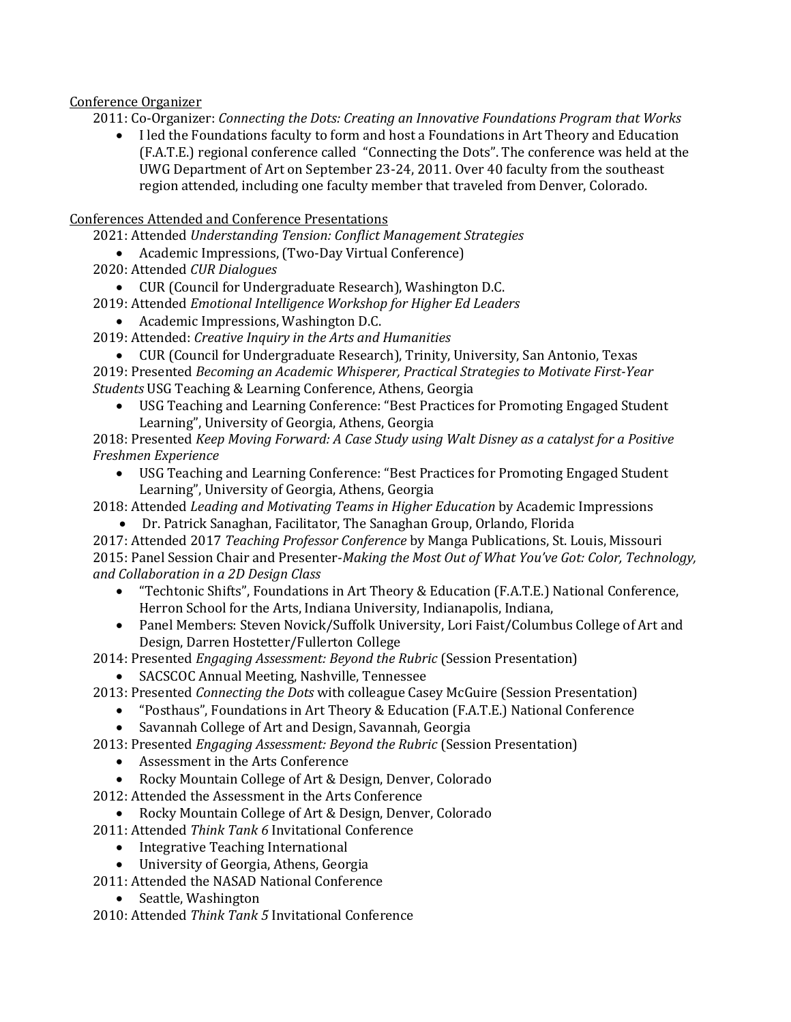## Conference Organizer

2011: Co-Organizer: *Connecting the Dots: Creating an Innovative Foundations Program that Works* 

• I led the Foundations faculty to form and host a Foundations in Art Theory and Education (F.A.T.E.) regional conference called "Connecting the Dots". The conference was held at the UWG Department of Art on September 23-24, 2011. Over 40 faculty from the southeast region attended, including one faculty member that traveled from Denver, Colorado.

## Conferences Attended and Conference Presentations

2021: Attended *Understanding Tension: Conflict Management Strategies* 

- Academic Impressions, (Two-Day Virtual Conference)
- 2020: Attended *CUR Dialogues*
	- CUR (Council for Undergraduate Research), Washington D.C.
- 2019: Attended *Emotional Intelligence Workshop for Higher Ed Leaders* 
	- Academic Impressions, Washington D.C.
- 2019: Attended: *Creative Inquiry in the Arts and Humanities*
- CUR (Council for Undergraduate Research), Trinity, University, San Antonio, Texas 2019: Presented *Becoming an Academic Whisperer, Practical Strategies to Motivate First-Year Students* USG Teaching & Learning Conference, Athens, Georgia
	- USG Teaching and Learning Conference: "Best Practices for Promoting Engaged Student Learning", University of Georgia, Athens, Georgia

2018: Presented *Keep Moving Forward: A Case Study using Walt Disney as a catalyst for a Positive Freshmen Experience* 

• USG Teaching and Learning Conference: "Best Practices for Promoting Engaged Student Learning", University of Georgia, Athens, Georgia

2018: Attended *Leading and Motivating Teams in Higher Education* by Academic Impressions

• Dr. Patrick Sanaghan, Facilitator, The Sanaghan Group, Orlando, Florida

2017: Attended 2017 *Teaching Professor Conference* by Manga Publications, St. Louis, Missouri 2015: Panel Session Chair and Presenter-*Making the Most Out of What You've Got: Color, Technology, and Collaboration in a 2D Design Class*

- "Techtonic Shifts", Foundations in Art Theory & Education (F.A.T.E.) National Conference, Herron School for the Arts, Indiana University, Indianapolis, Indiana,
- Panel Members: Steven Novick/Suffolk University, Lori Faist/Columbus College of Art and Design, Darren Hostetter/Fullerton College
- 2014: Presented *Engaging Assessment: Beyond the Rubric* (Session Presentation)
	- SACSCOC Annual Meeting, Nashville, Tennessee

## 2013: Presented *Connecting the Dots* with colleague Casey McGuire (Session Presentation)

- "Posthaus", Foundations in Art Theory & Education (F.A.T.E.) National Conference
	- Savannah College of Art and Design, Savannah, Georgia

2013: Presented *Engaging Assessment: Beyond the Rubric* (Session Presentation)

- Assessment in the Arts Conference
- Rocky Mountain College of Art & Design, Denver, Colorado
- 2012: Attended the Assessment in the Arts Conference
	- Rocky Mountain College of Art & Design, Denver, Colorado
- 2011: Attended Think Tank 6 Invitational Conference
	- Integrative Teaching International
	- University of Georgia, Athens, Georgia
- 2011: Attended the NASAD National Conference
	- Seattle, Washington

2010: Attended Think Tank 5 Invitational Conference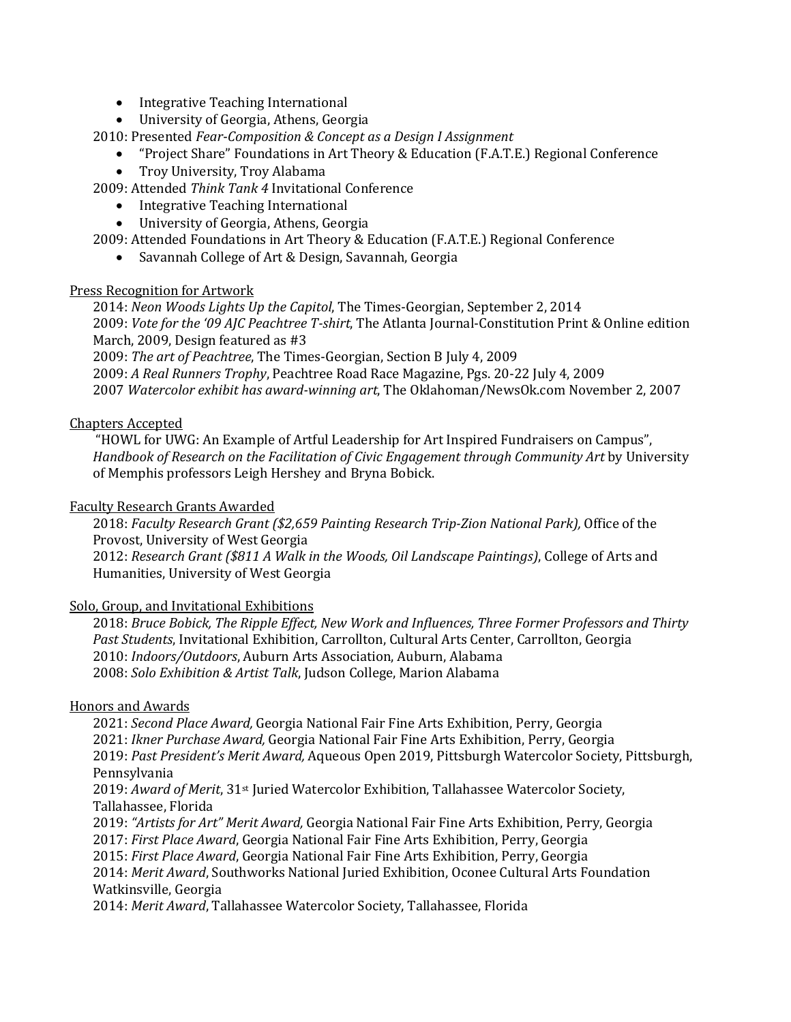- Integrative Teaching International
- University of Georgia, Athens, Georgia

2010: Presented *Fear-Composition & Concept as a Design I Assignment* 

- "Project Share" Foundations in Art Theory & Education (F.A.T.E.) Regional Conference
- Troy University, Troy Alabama

2009: Attended *Think Tank 4* Invitational Conference 

- Integrative Teaching International
	- University of Georgia, Athens, Georgia

2009: Attended Foundations in Art Theory & Education (F.A.T.E.) Regional Conference

• Savannah College of Art & Design, Savannah, Georgia

### Press Recognition for Artwork

2014: *Neon Woods Lights Up the Capitol*, The Times-Georgian, September 2, 2014 2009: *Vote for the '09 AJC Peachtree T-shirt*, The Atlanta Journal-Constitution Print & Online edition March, 2009, Design featured as #3 2009: *The art of Peachtree*, The Times-Georgian, Section B July 4, 2009

2009: *A Real Runners Trophy*, Peachtree Road Race Magazine, Pgs. 20-22 July 4, 2009 2007 Watercolor exhibit has award-winning art, The Oklahoman/NewsOk.com November 2, 2007

## Chapters Accepted

"HOWL for UWG: An Example of Artful Leadership for Art Inspired Fundraisers on Campus", *Handbook of Research on the Facilitation of Civic Engagement through Community Art* by University of Memphis professors Leigh Hershey and Bryna Bobick.

### Faculty Research Grants Awarded

2018: Faculty Research Grant (\$2,659 Painting Research Trip-Zion National Park), Office of the Provost, University of West Georgia 2012: *Research Grant (\$811 A Walk in the Woods, Oil Landscape Paintings)*, College of Arts and Humanities, University of West Georgia

### Solo, Group, and Invitational Exhibitions

2018: *Bruce Bobick, The Ripple Effect, New Work and Influences, Three Former Professors and Thirty* Past Students, Invitational Exhibition, Carrollton, Cultural Arts Center, Carrollton, Georgia 2010: *Indoors/Outdoors*, Auburn Arts Association, Auburn, Alabama 2008: Solo Exhibition & Artist Talk, Judson College, Marion Alabama

### Honors and Awards

2021: Second Place Award, Georgia National Fair Fine Arts Exhibition, Perry, Georgia 2021: *Ikner Purchase Award,* Georgia National Fair Fine Arts Exhibition, Perry, Georgia 2019: Past President's Merit Award, Aqueous Open 2019, Pittsburgh Watercolor Society, Pittsburgh, Pennsylvania

2019: Award of Merit, 31<sup>st</sup> Juried Watercolor Exhibition, Tallahassee Watercolor Society, Tallahassee, Florida

2019: "Artists for Art" Merit Award, Georgia National Fair Fine Arts Exhibition, Perry, Georgia

2017: *First Place Award*, Georgia National Fair Fine Arts Exhibition, Perry, Georgia

2015: *First Place Award*, Georgia National Fair Fine Arts Exhibition, Perry, Georgia

2014: *Merit Award*, Southworks National Juried Exhibition, Oconee Cultural Arts Foundation Watkinsville, Georgia

2014: Merit Award, Tallahassee Watercolor Society, Tallahassee, Florida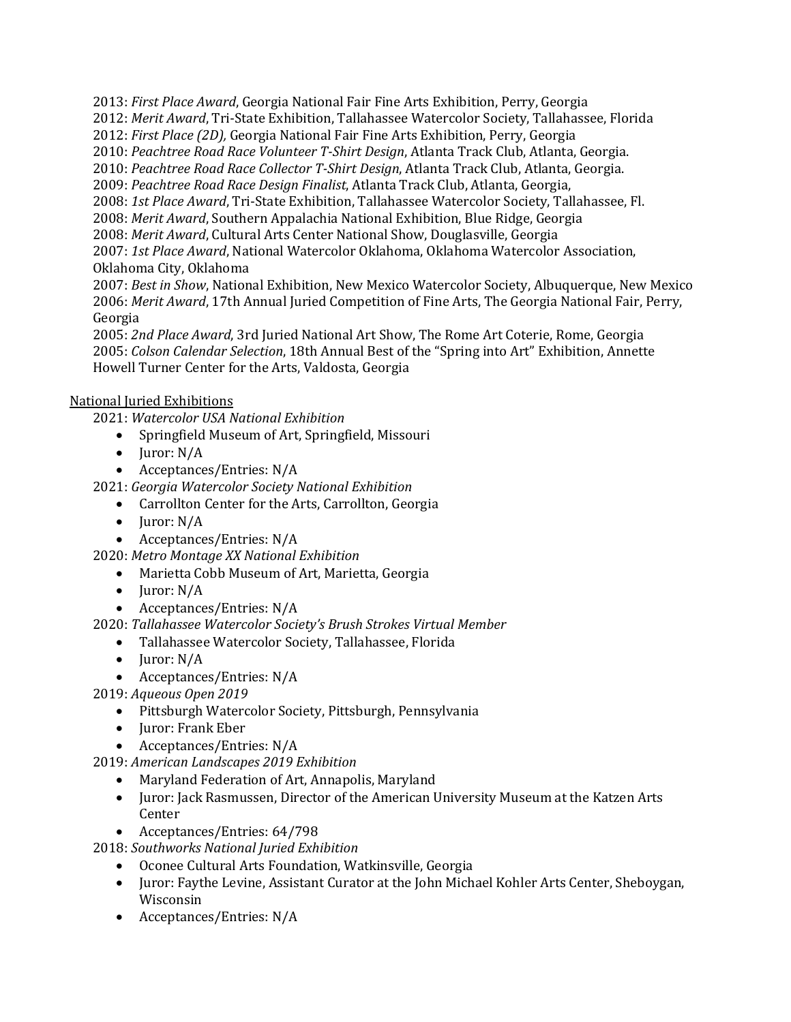2013: *First Place Award*, Georgia National Fair Fine Arts Exhibition, Perry, Georgia 2012: *Merit Award*, Tri-State Exhibition, Tallahassee Watercolor Society, Tallahassee, Florida 2012: *First Place (2D)*, Georgia National Fair Fine Arts Exhibition, Perry, Georgia 2010: Peachtree Road Race Volunteer T-Shirt Design, Atlanta Track Club, Atlanta, Georgia. 2010: Peachtree Road Race Collector T-Shirt Design, Atlanta Track Club, Atlanta, Georgia. 2009: Peachtree Road Race Design Finalist, Atlanta Track Club, Atlanta, Georgia, 2008: 1st Place Award, Tri-State Exhibition, Tallahassee Watercolor Society, Tallahassee, Fl. 2008: Merit Award, Southern Appalachia National Exhibition, Blue Ridge, Georgia 2008: Merit Award, Cultural Arts Center National Show, Douglasville, Georgia 2007: 1st Place Award, National Watercolor Oklahoma, Oklahoma Watercolor Association, Oklahoma City, Oklahoma 2007: Best in Show, National Exhibition, New Mexico Watercolor Society, Albuquerque, New Mexico

2006: *Merit Award*, 17th Annual Juried Competition of Fine Arts, The Georgia National Fair, Perry, Georgia

2005: *2nd Place Award*, 3rd Juried National Art Show, The Rome Art Coterie, Rome, Georgia 2005: *Colson Calendar Selection*, 18th Annual Best of the "Spring into Art" Exhibition, Annette Howell Turner Center for the Arts, Valdosta, Georgia

## National Juried Exhibitions

2021: *Watercolor USA National Exhibition*

- Springfield Museum of Art, Springfield, Missouri
- Juror:  $N/A$
- Acceptances/Entries: N/A

2021: *Georgia Watercolor Society National Exhibition*

- Carrollton Center for the Arts, Carrollton, Georgia
- Juror:  $N/A$
- Acceptances/Entries: N/A

2020: *Metro Montage XX National Exhibition*

- Marietta Cobb Museum of Art, Marietta, Georgia
- $\bullet$  Juror: N/A
- Acceptances/Entries: N/A

2020: Tallahassee Watercolor Society's Brush Strokes Virtual Member

- Tallahassee Watercolor Society, Tallahassee, Florida
- $\bullet$  Juror: N/A
- Acceptances/Entries: N/A

2019: Aqueous Open 2019

- Pittsburgh Watercolor Society, Pittsburgh, Pennsylvania
- Juror: Frank Eber
- Acceptances/Entries: N/A
- 2019: *American Landscapes 2019 Exhibition*
	- Maryland Federation of Art, Annapolis, Maryland
	- Juror: Jack Rasmussen, Director of the American University Museum at the Katzen Arts Center
	- Acceptances/Entries: 64/798

2018: *Southworks National Juried Exhibition*

- Oconee Cultural Arts Foundation, Watkinsville, Georgia
- Juror: Faythe Levine, Assistant Curator at the John Michael Kohler Arts Center, Sheboygan, Wisconsin
- Acceptances/Entries: N/A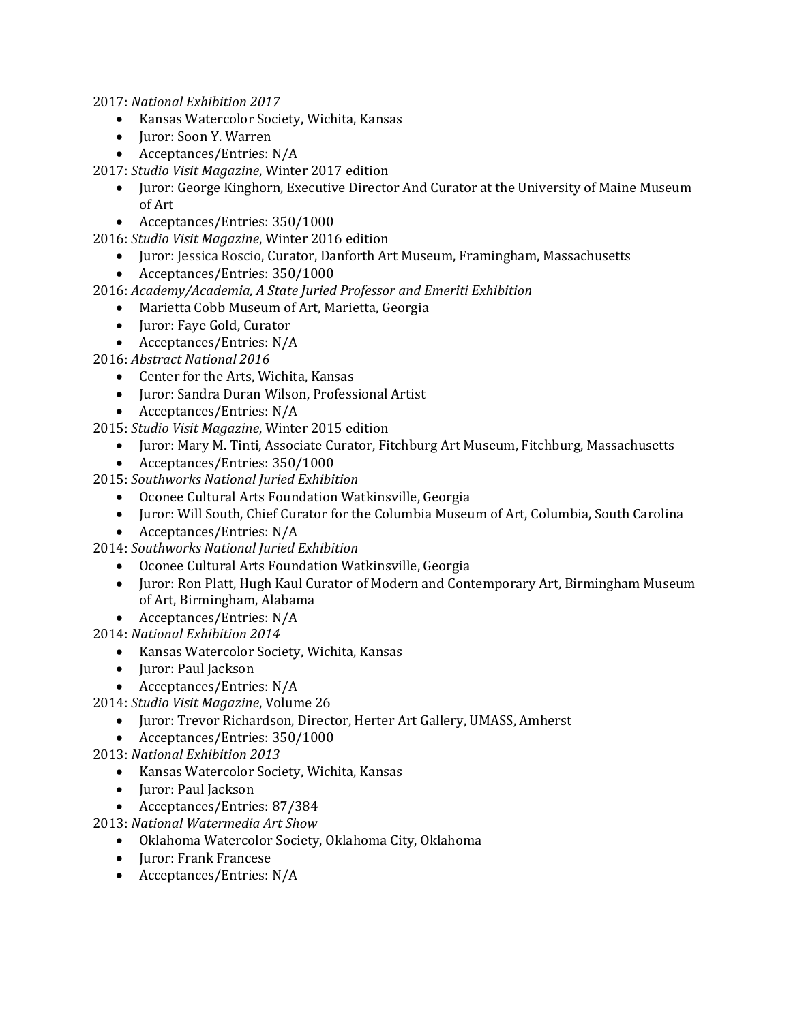2017: *National Exhibition 2017*

- Kansas Watercolor Society, Wichita, Kansas
- Juror: Soon Y. Warren
- Acceptances/Entries: N/A

2017: *Studio Visit Magazine*, Winter 2017 edition

- Juror: George Kinghorn, Executive Director And Curator at the University of Maine Museum of Art
- Acceptances/Entries: 350/1000

2016: *Studio Visit Magazine*, Winter 2016 edition

- Juror: Jessica Roscio, Curator, Danforth Art Museum, Framingham, Massachusetts
- Acceptances/Entries: 350/1000

2016: Academy/Academia, A State Juried Professor and Emeriti Exhibition

- Marietta Cobb Museum of Art, Marietta, Georgia
- Juror: Faye Gold, Curator
- Acceptances/Entries: N/A

2016: Abstract National 2016

- Center for the Arts, Wichita, Kansas
- Juror: Sandra Duran Wilson, Professional Artist
- Acceptances/Entries: N/A

2015: *Studio Visit Magazine*, Winter 2015 edition

- Juror: Mary M. Tinti, Associate Curator, Fitchburg Art Museum, Fitchburg, Massachusetts
- Acceptances/Entries: 350/1000
- 2015: *Southworks National Juried Exhibition*
	- Oconee Cultural Arts Foundation Watkinsville, Georgia
	- Juror: Will South, Chief Curator for the Columbia Museum of Art, Columbia, South Carolina
	- Acceptances/Entries: N/A
- 2014: *Southworks National Juried Exhibition*
	- Oconee Cultural Arts Foundation Watkinsville, Georgia
	- Juror: Ron Platt, Hugh Kaul Curator of Modern and Contemporary Art, Birmingham Museum of Art, Birmingham, Alabama
	- Acceptances/Entries: N/A
- 2014: *National Exhibition 2014*
	- Kansas Watercolor Society, Wichita, Kansas
	- Juror: Paul Jackson
	- Acceptances/Entries: N/A
- 2014: *Studio Visit Magazine*, Volume 26
	- Juror: Trevor Richardson, Director, Herter Art Gallery, UMASS, Amherst
	- Acceptances/Entries: 350/1000
- 2013: *National Exhibition 2013*
	- Kansas Watercolor Society, Wichita, Kansas
	- Juror: Paul Jackson
	- Acceptances/Entries: 87/384
- 2013: National Watermedia Art Show
	- Oklahoma Watercolor Society, Oklahoma City, Oklahoma
	- Juror: Frank Francese
	- Acceptances/Entries: N/A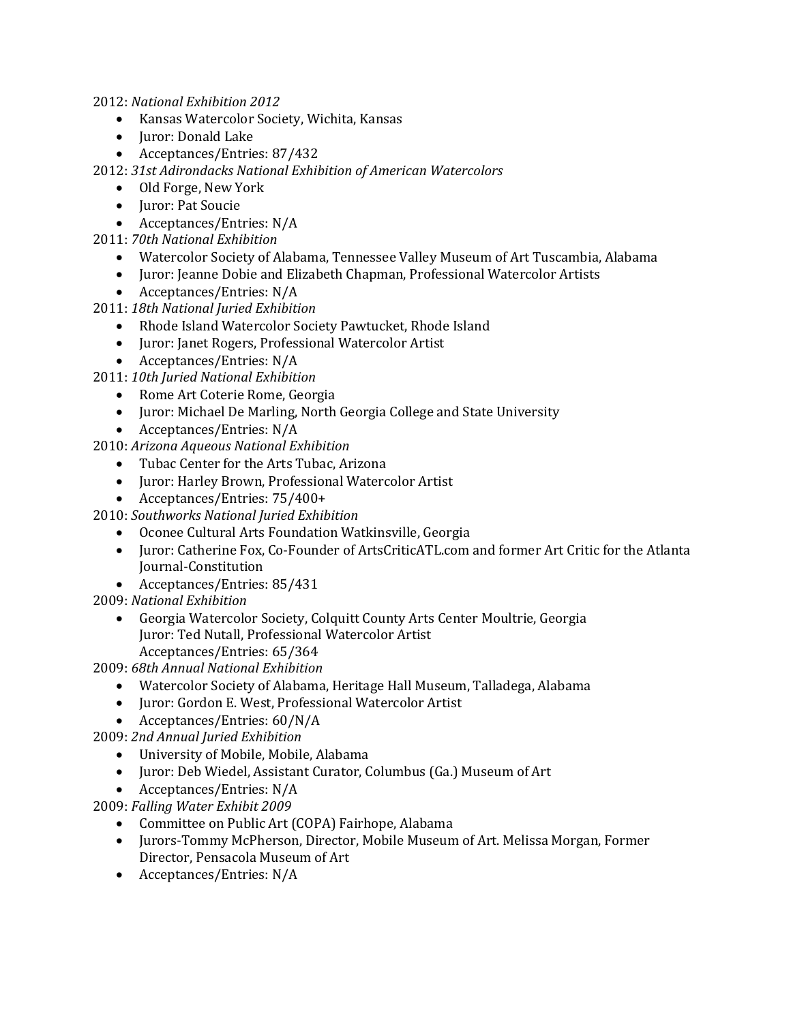2012: *National Exhibition 2012*

- Kansas Watercolor Society, Wichita, Kansas
- Juror: Donald Lake
- Acceptances/Entries: 87/432

2012: 31st Adirondacks National Exhibition of American Watercolors

- Old Forge, New York
- Juror: Pat Soucie
- Acceptances/Entries: N/A

2011: *70th National Exhibition*

- Watercolor Society of Alabama, Tennessee Valley Museum of Art Tuscambia, Alabama
- Juror: Jeanne Dobie and Elizabeth Chapman, Professional Watercolor Artists
- Acceptances/Entries: N/A

2011: *18th National Juried Exhibition*

- Rhode Island Watercolor Society Pawtucket, Rhode Island
- Juror: Janet Rogers, Professional Watercolor Artist
- Acceptances/Entries: N/A
- 2011: *10th Juried National Exhibition*
	- Rome Art Coterie Rome, Georgia
	- Juror: Michael De Marling, North Georgia College and State University
	- Acceptances/Entries: N/A

2010: *Arizona Aqueous National Exhibition*

- Tubac Center for the Arts Tubac, Arizona
- Juror: Harley Brown, Professional Watercolor Artist
- Acceptances/Entries: 75/400+

2010: *Southworks National Juried Exhibition*

- Oconee Cultural Arts Foundation Watkinsville, Georgia
- Juror: Catherine Fox, Co-Founder of ArtsCriticATL.com and former Art Critic for the Atlanta Journal-Constitution
- Acceptances/Entries: 85/431

2009: *National Exhibition*

• Georgia Watercolor Society, Colquitt County Arts Center Moultrie, Georgia Juror: Ted Nutall, Professional Watercolor Artist Acceptances/Entries: 65/364

2009: *68th Annual National Exhibition*

- Watercolor Society of Alabama, Heritage Hall Museum, Talladega, Alabama
- Juror: Gordon E. West, Professional Watercolor Artist
- Acceptances/Entries:  $60/N/A$

2009: *2nd Annual Juried Exhibition*

- University of Mobile, Mobile, Alabama
- Juror: Deb Wiedel, Assistant Curator, Columbus (Ga.) Museum of Art
- Acceptances/Entries: N/A

2009: Falling Water Exhibit 2009

- Committee on Public Art (COPA) Fairhope, Alabama
- Jurors-Tommy McPherson, Director, Mobile Museum of Art. Melissa Morgan, Former Director, Pensacola Museum of Art
- Acceptances/Entries: N/A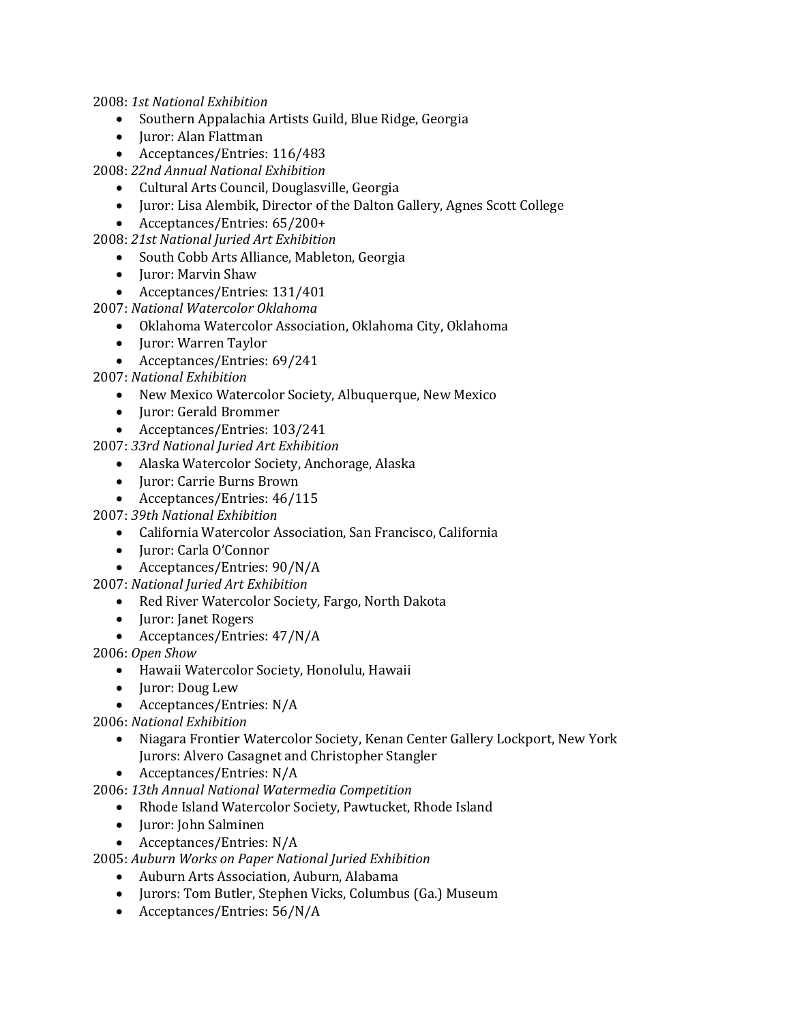2008: *1st National Exhibition*

- Southern Appalachia Artists Guild, Blue Ridge, Georgia
- Juror: Alan Flattman
- Acceptances/Entries: 116/483

2008: *22nd Annual National Exhibition*

- Cultural Arts Council, Douglasville, Georgia
- Juror: Lisa Alembik, Director of the Dalton Gallery, Agnes Scott College
- Acceptances/Entries: 65/200+

2008: *21st National Juried Art Exhibition*

- South Cobb Arts Alliance, Mableton, Georgia
- Juror: Marvin Shaw
- Acceptances/Entries: 131/401

2007: *National Watercolor Oklahoma*

- Oklahoma Watercolor Association, Oklahoma City, Oklahoma
- Juror: Warren Taylor
- Acceptances/Entries: 69/241

2007: *National Exhibition*

- New Mexico Watercolor Society, Albuquerque, New Mexico
- Juror: Gerald Brommer
- Acceptances/Entries: 103/241

2007: *33rd National Juried Art Exhibition*

- Alaska Watercolor Society, Anchorage, Alaska
- Juror: Carrie Burns Brown
- Acceptances/Entries: 46/115

2007: *39th National Exhibition*

- California Watercolor Association, San Francisco, California
- Juror: Carla O'Connor
- Acceptances/Entries: 90/N/A

2007: *National Juried Art Exhibition*

- Red River Watercolor Society, Fargo, North Dakota
- Juror: Janet Rogers
- Acceptances/Entries:  $47/N/A$

2006: *Open Show*

- Hawaii Watercolor Society, Honolulu, Hawaii
- Juror: Doug Lew
- Acceptances/Entries: N/A

2006: *National Exhibition*

- Niagara Frontier Watercolor Society, Kenan Center Gallery Lockport, New York Jurors: Alvero Casagnet and Christopher Stangler
- Acceptances/Entries: N/A

2006: *13th Annual National Watermedia Competition*

- Rhode Island Watercolor Society, Pawtucket, Rhode Island
- Juror: John Salminen
- Acceptances/Entries: N/A

2005: *Auburn Works on Paper National Juried Exhibition*

- Auburn Arts Association, Auburn, Alabama
- Jurors: Tom Butler, Stephen Vicks, Columbus (Ga.) Museum
- Acceptances/Entries:  $56/N/A$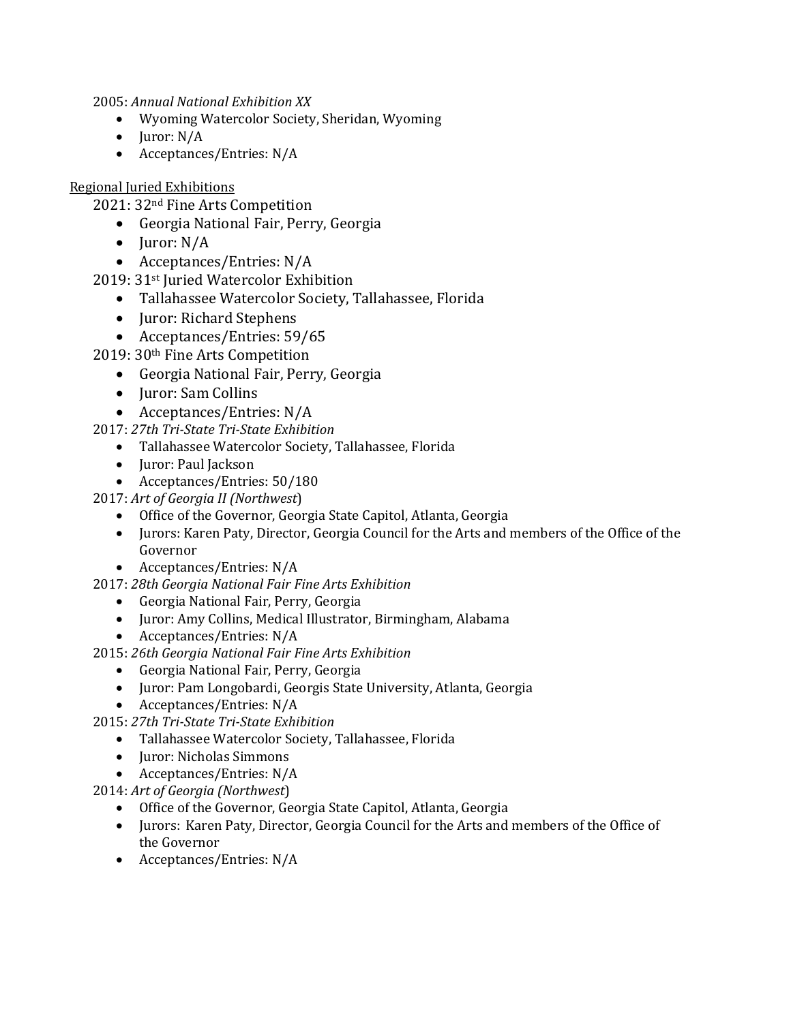2005: *Annual National Exhibition XX*

- Wyoming Watercolor Society, Sheridan, Wyoming
- $\bullet$  Juror: N/A
- Acceptances/Entries: N/A

## Regional Juried Exhibitions

2021: 32<sup>nd</sup> Fine Arts Competition

- Georgia National Fair, Perry, Georgia
- $\bullet$  Juror: N/A
- Acceptances/Entries: N/A
- 2019: 31<sup>st</sup> Juried Watercolor Exhibition
	- Tallahassee Watercolor Society, Tallahassee, Florida
	- Juror: Richard Stephens
	- Acceptances/Entries: 59/65
- 2019: 30<sup>th</sup> Fine Arts Competition
	- Georgia National Fair, Perry, Georgia
	- Juror: Sam Collins
	- Acceptances/Entries: N/A
- 2017: *27th Tri-State Tri-State Exhibition*
	- Tallahassee Watercolor Society, Tallahassee, Florida
	- Juror: Paul Jackson
	- Acceptances/Entries: 50/180
- 2017: Art of Georgia II (Northwest)
	- Office of the Governor, Georgia State Capitol, Atlanta, Georgia
	- Jurors: Karen Paty, Director, Georgia Council for the Arts and members of the Office of the Governor
	- Acceptances/Entries: N/A
- 2017: *28th Georgia National Fair Fine Arts Exhibition*
	- Georgia National Fair, Perry, Georgia
	- Juror: Amy Collins, Medical Illustrator, Birmingham, Alabama
	- Acceptances/Entries: N/A
- 2015: 26th Georgia National Fair Fine Arts Exhibition
	- Georgia National Fair, Perry, Georgia
	- Juror: Pam Longobardi, Georgis State University, Atlanta, Georgia
	- Acceptances/Entries: N/A
- 2015: *27th Tri-State Tri-State Exhibition*
	- Tallahassee Watercolor Society, Tallahassee, Florida
	- Juror: Nicholas Simmons
	- Acceptances/Entries: N/A

2014: *Art of Georgia (Northwest*)

- Office of the Governor, Georgia State Capitol, Atlanta, Georgia
- Jurors: Karen Paty, Director, Georgia Council for the Arts and members of the Office of the Governor
- Acceptances/Entries: N/A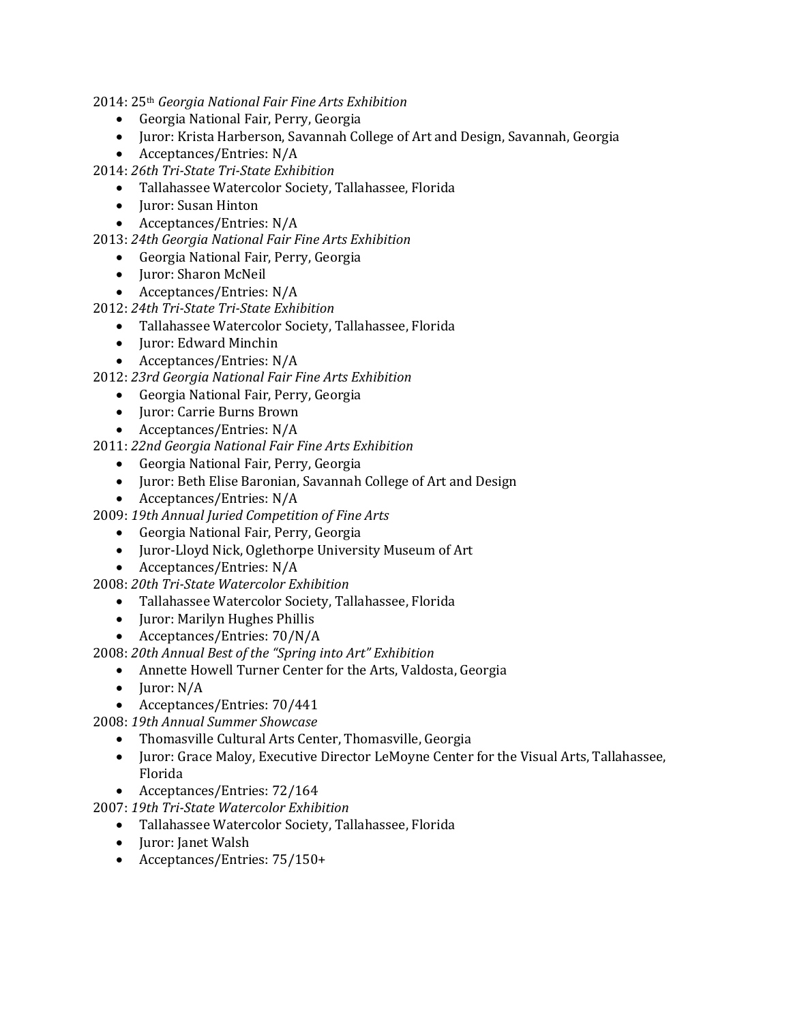2014: 25th *Georgia National Fair Fine Arts Exhibition*

- Georgia National Fair, Perry, Georgia
- Juror: Krista Harberson, Savannah College of Art and Design, Savannah, Georgia
- Acceptances/Entries: N/A

2014: *26th Tri-State Tri-State Exhibition*

- Tallahassee Watercolor Society, Tallahassee, Florida
- Juror: Susan Hinton
- Acceptances/Entries: N/A

2013: *24th Georgia National Fair Fine Arts Exhibition*

- Georgia National Fair, Perry, Georgia
- Juror: Sharon McNeil
- Acceptances/Entries: N/A

2012: 24th Tri-State Tri-State Exhibition

- Tallahassee Watercolor Society, Tallahassee, Florida
- Juror: Edward Minchin
- Acceptances/Entries: N/A
- 2012: *23rd Georgia National Fair Fine Arts Exhibition*
	- Georgia National Fair, Perry, Georgia
	- Juror: Carrie Burns Brown
	- Acceptances/Entries: N/A

2011: 22nd Georgia National Fair Fine Arts Exhibition

- Georgia National Fair, Perry, Georgia
- Juror: Beth Elise Baronian, Savannah College of Art and Design
- Acceptances/Entries: N/A

2009: *19th Annual Juried Competition of Fine Arts*

- Georgia National Fair, Perry, Georgia
- Juror-Lloyd Nick, Oglethorpe University Museum of Art
- Acceptances/Entries: N/A

2008: *20th Tri-State Watercolor Exhibition*

- Tallahassee Watercolor Society, Tallahassee, Florida
- Juror: Marilyn Hughes Phillis
- Acceptances/Entries: 70/N/A

2008: 20th Annual Best of the "Spring into Art" Exhibition

- Annette Howell Turner Center for the Arts, Valdosta, Georgia
- Juror:  $N/A$
- Acceptances/Entries: 70/441

2008: *19th Annual Summer Showcase*

- Thomasville Cultural Arts Center, Thomasville, Georgia
- Juror: Grace Maloy, Executive Director LeMoyne Center for the Visual Arts, Tallahassee, Florida
- Acceptances/Entries: 72/164

2007: *19th Tri-State Watercolor Exhibition*

- Tallahassee Watercolor Society, Tallahassee, Florida
- Juror: Janet Walsh
- Acceptances/Entries: 75/150+